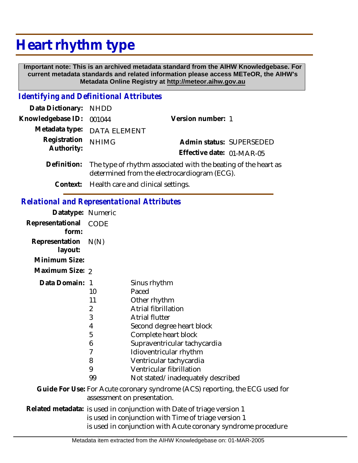## **Heart rhythm type**

 **Important note: This is an archived metadata standard from the AIHW Knowledgebase. For current metadata standards and related information please access METeOR, the AIHW's Metadata Online Registry at http://meteor.aihw.gov.au**

## *Identifying and Definitional Attributes*

| Data Dictionary: NHDD            |                                                                            |                           |                          |
|----------------------------------|----------------------------------------------------------------------------|---------------------------|--------------------------|
| Knowledgebase ID: 001044         |                                                                            | Version number: 1         |                          |
|                                  | Metadata type: DATA ELEMENT                                                |                           |                          |
| Registration NHIMG<br>Authority: |                                                                            |                           | Admin status: SUPERSEDED |
|                                  |                                                                            | Effective date: 01-MAR-05 |                          |
|                                  | Definition: The type of rhythm associated with the beating of the heart as |                           |                          |

- determined from the electrocardiogram (ECG).
	- **Context:** Health care and clinical settings.

## *Relational and Representational Attributes*

| Datatype: Numeric                                                                                           |                |                                                                                                                                                                                                 |  |
|-------------------------------------------------------------------------------------------------------------|----------------|-------------------------------------------------------------------------------------------------------------------------------------------------------------------------------------------------|--|
| Representational<br>form:                                                                                   | <b>CODE</b>    |                                                                                                                                                                                                 |  |
| Representation<br>layout:                                                                                   | N(N)           |                                                                                                                                                                                                 |  |
| Minimum Size:                                                                                               |                |                                                                                                                                                                                                 |  |
| Maximum Size: 2                                                                                             |                |                                                                                                                                                                                                 |  |
| Data Domain: 1                                                                                              |                | Sinus rhythm                                                                                                                                                                                    |  |
|                                                                                                             | 10             | Paced                                                                                                                                                                                           |  |
|                                                                                                             | 11             | Other rhythm                                                                                                                                                                                    |  |
|                                                                                                             | $\overline{2}$ | Atrial fibrillation                                                                                                                                                                             |  |
|                                                                                                             | 3              | <b>Atrial flutter</b>                                                                                                                                                                           |  |
|                                                                                                             | 4              | Second degree heart block                                                                                                                                                                       |  |
|                                                                                                             | 5              | Complete heart block                                                                                                                                                                            |  |
|                                                                                                             | 6              | Supraventricular tachycardia                                                                                                                                                                    |  |
|                                                                                                             | 7              | Idioventricular rhythm                                                                                                                                                                          |  |
|                                                                                                             | 8              | Ventricular tachycardia                                                                                                                                                                         |  |
|                                                                                                             | 9              | Ventricular fibrillation                                                                                                                                                                        |  |
|                                                                                                             | 99             | Not stated/inadequately described                                                                                                                                                               |  |
| Guide For Use: For Acute coronary syndrome (ACS) reporting, the ECG used for<br>assessment on presentation. |                |                                                                                                                                                                                                 |  |
|                                                                                                             |                | Related metadata: is used in conjunction with Date of triage version 1<br>is used in conjunction with Time of triage version 1<br>is used in conjunction with Acute coronary syndrome procedure |  |